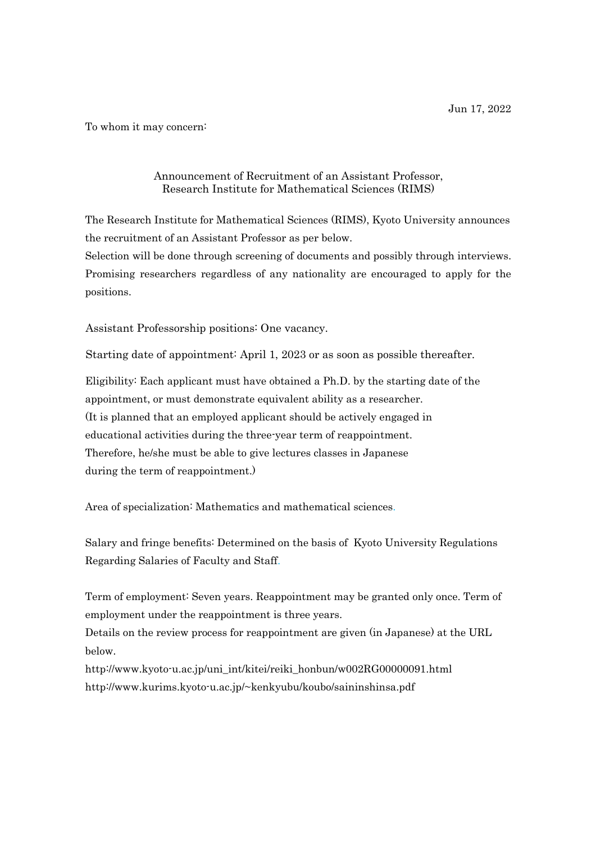To whom it may concern:

## Announcement of Recruitment of an Assistant Professor, Research Institute for Mathematical Sciences (RIMS)

The Research Institute for Mathematical Sciences (RIMS), Kyoto University announces the recruitment of an Assistant Professor as per below.

Selection will be done through screening of documents and possibly through interviews. Promising researchers regardless of any nationality are encouraged to apply for the positions.

Assistant Professorship positions: One vacancy.

Starting date of appointment: April 1, 2023 or as soon as possible thereafter.

Eligibility: Each applicant must have obtained a Ph.D. by the starting date of the appointment, or must demonstrate equivalent ability as a researcher. (It is planned that an employed applicant should be actively engaged in educational activities during the three-year term of reappointment. Therefore, he/she must be able to give lectures classes in Japanese during the term of reappointment.)

Area of specialization: Mathematics and mathematical sciences.

Salary and fringe benefits: Determined on the basis of Kyoto University Regulations Regarding Salaries of Faculty and Staff.

Term of employment: Seven years. Reappointment may be granted only once. Term of employment under the reappointment is three years.

Details on the review process for reappointment are given (in Japanese) at the URL below.

[http://www.kyoto-u.ac.jp/uni\\_int/kitei/reiki\\_honbun/w002RG00000091.html](http://www.kyoto-u.ac.jp/uni_int/kitei/reiki_honbun/w002RG00000091.html) [http://www.kurims.kyoto-u.ac.jp/~kenkyubu/koubo/saininshinsa.pdf](http://www.kurims.kyoto-u.ac.jp/%7Ekenkyubu/koubo/saininshinsa.pdf)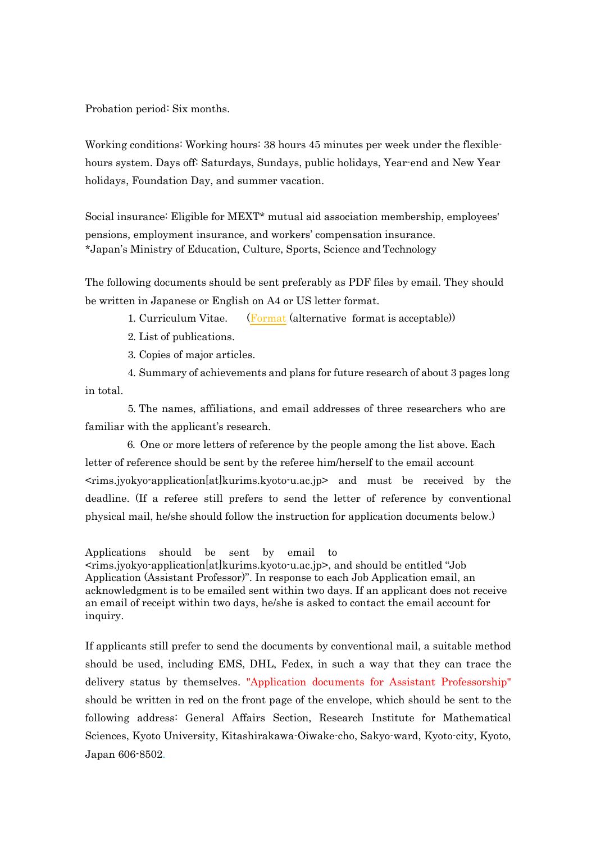Probation period: Six months.

Working conditions: Working hours: 38 hours 45 minutes per week under the flexiblehours system. Days off: Saturdays, Sundays, public holidays, Year-end and New Year holidays, Foundation Day, and summer vacation.

Social insurance: Eligible for MEXT\* mutual aid association membership, employees' pensions, employment insurance, and workers' compensation insurance. \*Japan's Ministry of Education, Culture, Sports, Science and Technology

The following documents should be sent preferably as PDF files by email. They should be written in Japanese or English on A4 or US letter format.

1. Curriculum Vitae. [\(Format](https://www.kurims.kyoto-u.ac.jp/~kenkyubu/koubo/2022/CV-English-20220617.doc) (alternative format is acceptable))

2. List of publications.

3. Copies of major articles.

in total. 4. Summary of achievements and plans for future research of about 3 pages long

5. The names, affiliations, and email addresses of three researchers who are familiar with the applicant's research.

6. One or more letters of reference by the people among the list above. Each letter of reference should be sent by the referee him/herself to the email account <rims.jyokyo-application[at]kurims.kyoto-u.ac.jp> and must be received by the deadline. (If a referee still prefers to send the letter of reference by conventional physical mail, he/she should follow the instruction for application documents below.)

Applications should be sent by email to

<rims.jyokyo-application[at]kurims.kyoto-u.ac.jp>, and should be entitled "Job Application (Assistant Professor)". In response to each Job Application email, an acknowledgment is to be emailed sent within two days. If an applicant does not receive an email of receipt within two days, he/she is asked to contact the email account for inquiry.

If applicants still prefer to send the documents by conventional mail, a suitable method should be used, including EMS, DHL, Fedex, in such a way that they can trace the delivery status by themselves. "Application documents for Assistant Professorship" should be written in red on the front page of the envelope, which should be sent to the following address: General Affairs Section, Research Institute for Mathematical Sciences, Kyoto University, Kitashirakawa-Oiwake-cho, Sakyo-ward, Kyoto-city, Kyoto, Japan 606-8502.